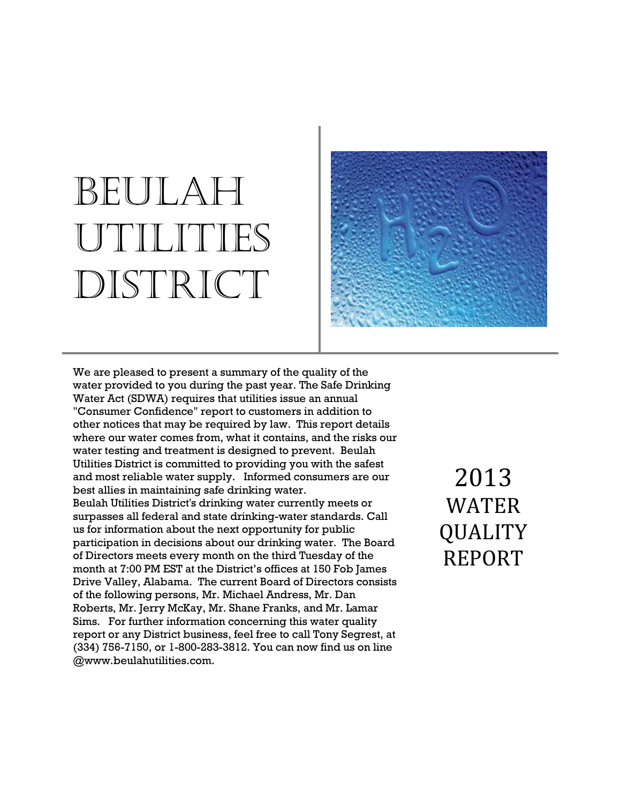# BEULAH UTILITIES DISTRICT



We are pleased to present a summary of the quality of the water provided to you during the past year. The Safe Drinking Water Act (SDWA) requires that utilities issue an annual "Consumer Confidence" report to customers in addition to other notices that may be required by law. This report details where our water comes from, what it contains, and the risks our water testing and treatment is designed to prevent. Beulah Utilities District is committed to providing you with the safest and most reliable water supply. Informed consumers are our best allies in maintaining safe drinking water. Beulah Utilities District's drinking water currently meets or surpasses all federal and state drinking-water standards. Call us for information about the next opportunity for public participation in decisions about our drinking water. The Board of Directors meets every month on the third Tuesday of the month at 7:00 PM EST at the District's offices at 150 Fob James Drive Valley, Alabama. The current Board of Directors consists of the following persons, Mr. Michael Andress, Mr. Dan Roberts, Mr. Jerry McKay, Mr. Shane Franks, and Mr. Lamar Sims. For further information concerning this water quality report or any District business, feel free to call Tony Segrest, at (334) 756-7150, or 1-800-283-3812. You can now find us on line @www.beulahutilities.com.

2013 WATER QUALITY REPORT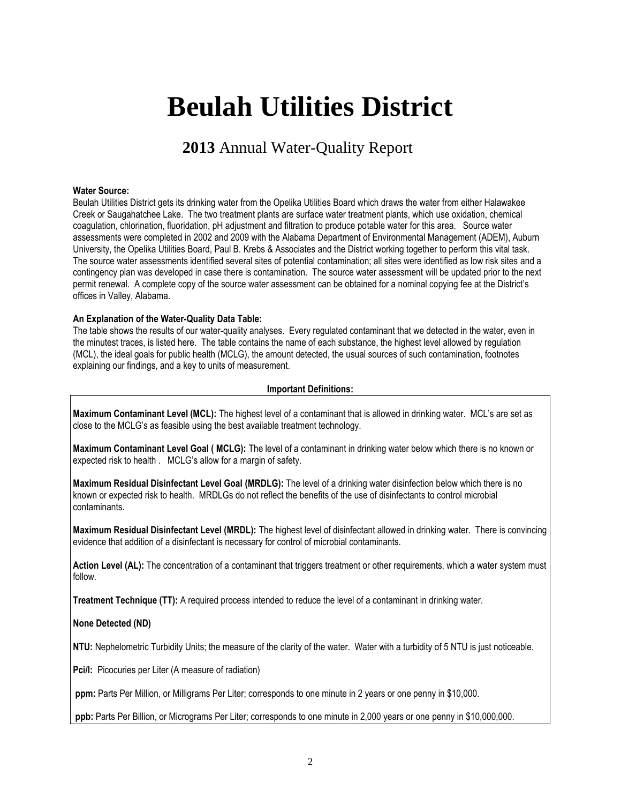## **Beulah Utilities District**

### **2013** Annual Water-Quality Report

#### **Water Source:**

Beulah Utilities District gets its drinking water from the Opelika Utilities Board which draws the water from either Halawakee Creek or Saugahatchee Lake. The two treatment plants are surface water treatment plants, which use oxidation, chemical coagulation, chlorination, fluoridation, pH adjustment and filtration to produce potable water for this area. Source water assessments were completed in 2002 and 2009 with the Alabama Department of Environmental Management (ADEM), Auburn University, the Opelika Utilities Board, Paul B. Krebs & Associates and the District working together to perform this vital task. The source water assessments identified several sites of potential contamination; all sites were identified as low risk sites and a contingency plan was developed in case there is contamination. The source water assessment will be updated prior to the next permit renewal. A complete copy of the source water assessment can be obtained for a nominal copying fee at the District's offices in Valley, Alabama.

#### **An Explanation of the Water-Quality Data Table:**

The table shows the results of our water-quality analyses. Every regulated contaminant that we detected in the water, even in the minutest traces, is listed here. The table contains the name of each substance, the highest level allowed by regulation (MCL), the ideal goals for public health (MCLG), the amount detected, the usual sources of such contamination, footnotes explaining our findings, and a key to units of measurement.

#### **Important Definitions:**

**Maximum Contaminant Level (MCL):** The highest level of a contaminant that is allowed in drinking water. MCL's are set as close to the MCLG's as feasible using the best available treatment technology.

**Maximum Contaminant Level Goal ( MCLG):** The level of a contaminant in drinking water below which there is no known or expected risk to health . MCLG's allow for a margin of safety.

**Maximum Residual Disinfectant Level Goal (MRDLG):** The level of a drinking water disinfection below which there is no known or expected risk to health. MRDLGs do not reflect the benefits of the use of disinfectants to control microbial contaminants.

**Maximum Residual Disinfectant Level (MRDL):** The highest level of disinfectant allowed in drinking water. There is convincing evidence that addition of a disinfectant is necessary for control of microbial contaminants.

**Action Level (AL):** The concentration of a contaminant that triggers treatment or other requirements, which a water system must follow.

**Treatment Technique (TT):** A required process intended to reduce the level of a contaminant in drinking water.

#### **None Detected (ND)**

**NTU:** Nephelometric Turbidity Units; the measure of the clarity of the water. Water with a turbidity of 5 NTU is just noticeable.

Pci/I: Picocuries per Liter (A measure of radiation)

**ppm:** Parts Per Million, or Milligrams Per Liter; corresponds to one minute in 2 years or one penny in \$10,000.

**ppb:** Parts Per Billion, or Micrograms Per Liter; corresponds to one minute in 2,000 years or one penny in \$10,000,000.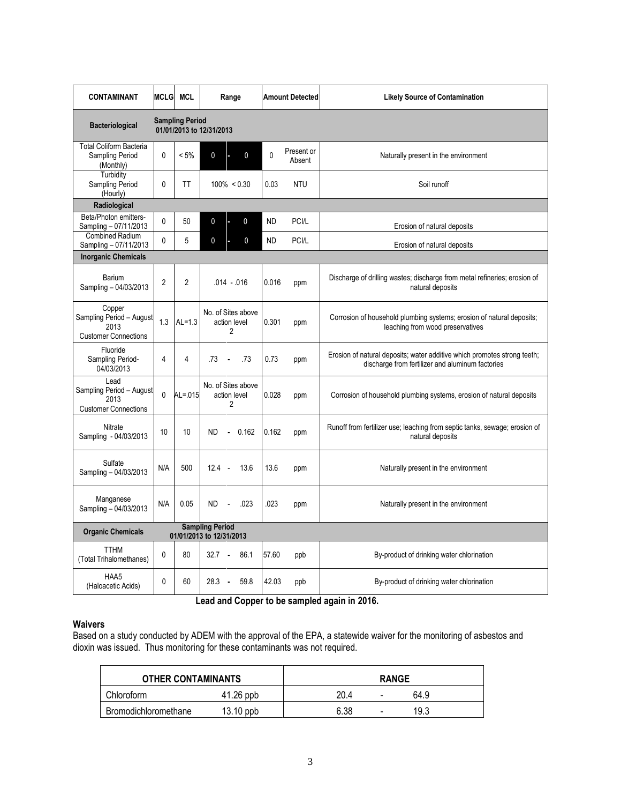| <b>CONTAMINANT</b>                                                        | <b>MCLG</b>                                        | <b>MCL</b>     | Range                                                | <b>Amount Detected</b><br><b>Likely Source of Contamination</b> |                      |                                                                                                                              |  |  |  |  |  |  |  |
|---------------------------------------------------------------------------|----------------------------------------------------|----------------|------------------------------------------------------|-----------------------------------------------------------------|----------------------|------------------------------------------------------------------------------------------------------------------------------|--|--|--|--|--|--|--|
| <b>Bacteriological</b>                                                    | <b>Sampling Period</b><br>01/01/2013 to 12/31/2013 |                |                                                      |                                                                 |                      |                                                                                                                              |  |  |  |  |  |  |  |
| <b>Total Coliform Bacteria</b><br>Sampling Period<br>(Monthly)            | 0                                                  | $< 5\%$        | $\mathbf 0$<br>0<br>ь                                | $\Omega$                                                        | Present or<br>Absent | Naturally present in the environment                                                                                         |  |  |  |  |  |  |  |
| Turbidity<br>Sampling Period<br>(Hourly)                                  | $\mathbf{0}$                                       | <b>TT</b>      | $100\% < 0.30$                                       | 0.03                                                            | <b>NTU</b>           | Soil runoff                                                                                                                  |  |  |  |  |  |  |  |
| Radiological                                                              |                                                    |                |                                                      |                                                                 |                      |                                                                                                                              |  |  |  |  |  |  |  |
| Beta/Photon emitters-<br>Sampling - 07/11/2013                            | $\Omega$                                           | 50             | $\mathbf 0$<br>$\mathbf 0$                           | <b>ND</b>                                                       | PCI/L                | Erosion of natural deposits                                                                                                  |  |  |  |  |  |  |  |
| <b>Combined Radium</b><br>Sampling - 07/11/2013                           | $\mathbf{0}$                                       | 5              | 0<br>0                                               | <b>ND</b>                                                       | PCI/L                | Erosion of natural deposits                                                                                                  |  |  |  |  |  |  |  |
| <b>Inorganic Chemicals</b>                                                |                                                    |                |                                                      |                                                                 |                      |                                                                                                                              |  |  |  |  |  |  |  |
| Barium<br>Sampling - 04/03/2013                                           | $\overline{2}$                                     | $\mathfrak{p}$ | $.014 - .016$                                        | 0.016                                                           | ppm                  | Discharge of drilling wastes; discharge from metal refineries; erosion of<br>natural deposits                                |  |  |  |  |  |  |  |
| Copper<br>Sampling Period - August<br>2013<br><b>Customer Connections</b> | 1.3                                                | $AL=1.3$       | No. of Sites above<br>action level<br>$\overline{2}$ | 0.301                                                           | ppm                  | Corrosion of household plumbing systems; erosion of natural deposits;<br>leaching from wood preservatives                    |  |  |  |  |  |  |  |
| Fluoride<br>Sampling Period-<br>04/03/2013                                | 4                                                  | 4              | .73<br>.73<br>$\bullet$                              | 0.73                                                            | ppm                  | Erosion of natural deposits; water additive which promotes strong teeth;<br>discharge from fertilizer and aluminum factories |  |  |  |  |  |  |  |
| Lead<br>Sampling Period - August<br>2013<br><b>Customer Connections</b>   | $\mathbf{0}$                                       | $AL = 015$     | No. of Sites above<br>action level<br>$\overline{2}$ | 0.028                                                           | ppm                  | Corrosion of household plumbing systems, erosion of natural deposits                                                         |  |  |  |  |  |  |  |
| Nitrate<br>Sampling - 04/03/2013                                          | 10                                                 | 10             | <b>ND</b><br>$-0.162$                                | 0.162                                                           | ppm                  | Runoff from fertilizer use; leaching from septic tanks, sewage; erosion of<br>natural deposits                               |  |  |  |  |  |  |  |
| Sulfate<br>Sampling - 04/03/2013                                          | N/A                                                | 500            | $12.4 -$<br>13.6                                     | 13.6                                                            | ppm                  | Naturally present in the environment                                                                                         |  |  |  |  |  |  |  |
| Manganese<br>Sampling - 04/03/2013                                        | N/A                                                | 0.05           | .023<br>ND.<br>$\blacksquare$                        | 023                                                             | ppm                  | Naturally present in the environment                                                                                         |  |  |  |  |  |  |  |
| <b>Organic Chemicals</b>                                                  | <b>Sampling Period</b><br>01/01/2013 to 12/31/2013 |                |                                                      |                                                                 |                      |                                                                                                                              |  |  |  |  |  |  |  |
| <b>TTHM</b><br>(Total Trihalomethanes)                                    | $\mathbf{0}$                                       | 80             | $32.7 -$<br>86.1                                     | 57.60                                                           | ppb                  | By-product of drinking water chlorination                                                                                    |  |  |  |  |  |  |  |
| HAA5<br>(Haloacetic Acids)                                                | $\mathbf{0}$                                       | 60             | 28.3<br>59.8<br>$\sim$                               | 42.03                                                           | ppb                  | By-product of drinking water chlorination                                                                                    |  |  |  |  |  |  |  |

 **Lead and Copper to be sampled again in 2016.**

#### **Waivers**

Based on a study conducted by ADEM with the approval of the EPA, a statewide waiver for the monitoring of asbestos and dioxin was issued. Thus monitoring for these contaminants was not required.

| <b>OTHER CONTAMINANTS</b> |             | <b>RANGE</b> |   |      |  |
|---------------------------|-------------|--------------|---|------|--|
| Chloroform                | $41.26$ ppb | 20.4         | - | 64.9 |  |
| Bromodichloromethane      | $13.10$ ppb | 6.38         | - | 19.3 |  |